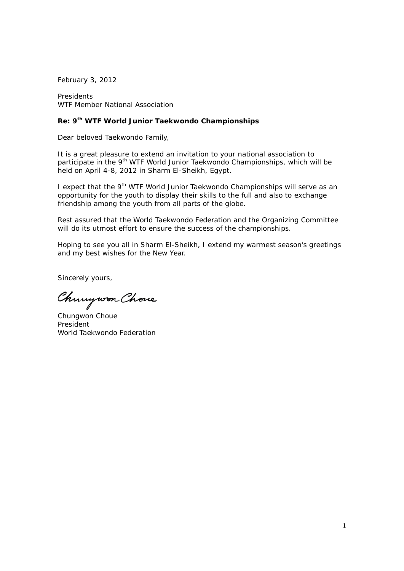February 3, 2012

Presidents WTF Member National Association

## **Re: 9th WTF World Junior Taekwondo Championships**

Dear beloved Taekwondo Family,

It is a great pleasure to extend an invitation to your national association to participate in the 9<sup>th</sup> WTF World Junior Taekwondo Championships, which will be held on April 4-8, 2012 in Sharm El-Sheikh, Egypt.

I expect that the 9<sup>th</sup> WTF World Junior Taekwondo Championships will serve as an opportunity for the youth to display their skills to the full and also to exchange friendship among the youth from all parts of the globe.

Rest assured that the World Taekwondo Federation and the Organizing Committee will do its utmost effort to ensure the success of the championships.

Hoping to see you all in Sharm El-Sheikh, I extend my warmest season's greetings and my best wishes for the New Year.

Sincerely yours,

Chinywon Chove

Chungwon Choue President World Taekwondo Federation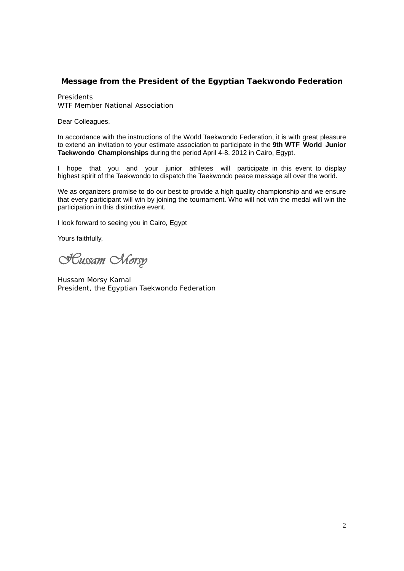## **Message from the President of the Egyptian Taekwondo Federation**

Presidents WTF Member National Association

Dear Colleagues,

In accordance with the instructions of the World Taekwondo Federation, it is with great pleasure to extend an invitation to your estimate association to participate in the **9th WTF World Junior Taekwondo Championships** during the period April 4-8, 2012 in Cairo, Egypt.

I hope that you and your junior athletes will participate in this event to display highest spirit of the Taekwondo to dispatch the Taekwondo peace message all over the world.

We as organizers promise to do our best to provide a high quality championship and we ensure that every participant will win by joining the tournament. Who will not win the medal will win the participation in this distinctive event.

I look forward to seeing you in Cairo, Egypt

Yours faithfully,

**Hussam Norsy** 

Hussam Morsy Kamal President, the Egyptian Taekwondo Federation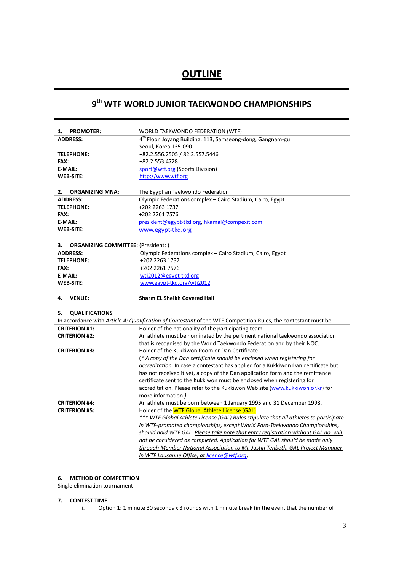## **OUTLINE**

# **9th WTF WORLD JUNIOR TAEKWONDO CHAMPIONSHIPS**

| <b>PROMOTER:</b><br>1.                          | WORLD TAEKWONDO FEDERATION (WTF)                                                                                                                                       |
|-------------------------------------------------|------------------------------------------------------------------------------------------------------------------------------------------------------------------------|
| <b>ADDRESS:</b>                                 | 4 <sup>th</sup> Floor, Joyang Building, 113, Samseong-dong, Gangnam-gu                                                                                                 |
|                                                 | Seoul, Korea 135-090                                                                                                                                                   |
| <b>TELEPHONE:</b>                               | +82.2.556.2505 / 82.2.557.5446                                                                                                                                         |
| FAX:                                            | +82.2.553.4728                                                                                                                                                         |
| <b>E-MAIL:</b>                                  | sport@wtf.org (Sports Division)                                                                                                                                        |
| <b>WEB-SITE:</b>                                | http://www.wtf.org                                                                                                                                                     |
|                                                 |                                                                                                                                                                        |
| 2.<br><b>ORGANIZING MNA:</b>                    | The Egyptian Taekwondo Federation                                                                                                                                      |
| <b>ADDRESS:</b>                                 | Olympic Federations complex - Cairo Stadium, Cairo, Egypt                                                                                                              |
| <b>TELEPHONE:</b>                               | +202 2263 1737                                                                                                                                                         |
| FAX:                                            | +202 2261 7576                                                                                                                                                         |
| <b>E-MAIL:</b>                                  | president@egypt-tkd.org, hkamal@compexit.com                                                                                                                           |
| <b>WEB-SITE:</b>                                | www.egypt-tkd.org                                                                                                                                                      |
|                                                 |                                                                                                                                                                        |
| <b>ORGANIZING COMMITTEE: (President:)</b><br>з. |                                                                                                                                                                        |
| <b>ADDRESS:</b>                                 | Olympic Federations complex - Cairo Stadium, Cairo, Egypt                                                                                                              |
| <b>TELEPHONE:</b>                               | +202 2263 1737                                                                                                                                                         |
| FAX:                                            | +202 2261 7576                                                                                                                                                         |
| <b>E-MAIL:</b>                                  | wtj2012@egypt-tkd.org                                                                                                                                                  |
| <b>WEB-SITE:</b>                                | www.egypt-tkd.org/wtj2012                                                                                                                                              |
|                                                 |                                                                                                                                                                        |
| 4.<br><b>VENUE:</b>                             | <b>Sharm EL Sheikh Covered Hall</b>                                                                                                                                    |
| 5.                                              |                                                                                                                                                                        |
| <b>QUALIFICATIONS</b>                           |                                                                                                                                                                        |
| <b>CRITERION #1:</b>                            | In accordance with Article 4: Qualification of Contestant of the WTF Competition Rules, the contestant must be:<br>Holder of the nationality of the participating team |
| <b>CRITERION #2:</b>                            |                                                                                                                                                                        |
|                                                 | An athlete must be nominated by the pertinent national taekwondo association<br>that is recognised by the World Taekwondo Federation and by their NOC.                 |
| <b>CRITERION #3:</b>                            | Holder of the Kukkiwon Poom or Dan Certificate                                                                                                                         |
|                                                 | (* A copy of the Dan certificate should be enclosed when registering for                                                                                               |
|                                                 | accreditation. In case a contestant has applied for a Kukkiwon Dan certificate but                                                                                     |
|                                                 | has not received it yet, a copy of the Dan application form and the remittance                                                                                         |
|                                                 | certificate sent to the Kukkiwon must be enclosed when registering for                                                                                                 |
|                                                 | accreditation. Please refer to the Kukkiwon Web site (www.kukkiwon.or.kr) for                                                                                          |
|                                                 | more information.)                                                                                                                                                     |
| <b>CRITERION #4:</b>                            | An athlete must be born between 1 January 1995 and 31 December 1998.                                                                                                   |
| <b>CRITERION #5:</b>                            | Holder of the WTF Global Athlete License (GAL)                                                                                                                         |
|                                                 | *** WTF Global Athlete License (GAL) Rules stipulate that all athletes to participate                                                                                  |
|                                                 | in WTF-promoted championships, except World Para-Taekwondo Championships,                                                                                              |
|                                                 | should hold WTF GAL. Please take note that entry registration without GAL no. will                                                                                     |
|                                                 | not be considered as completed. Application for WTF GAL should be made only                                                                                            |
|                                                 | through Member National Association to Mr. Justin Tenbeth, GAL Project Manager<br>in WTF Lausanne Office, at licence@wtf.org.                                          |

## **6. METHOD OF COMPETITION**

Single elimination tournament

## **7. CONTEST TIME**

i. Option 1: 1 minute 30 seconds x 3 rounds with 1 minute break (in the event that the number of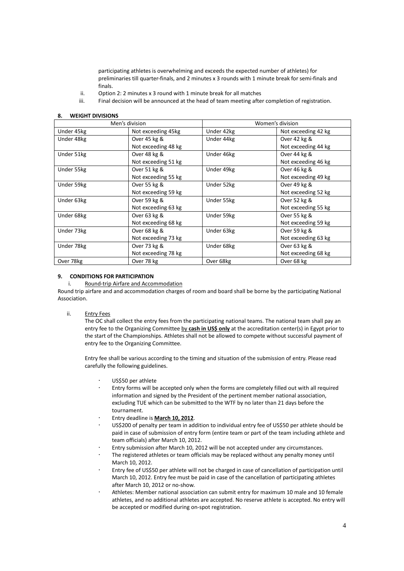participating athletes is overwhelming and exceeds the expected number of athletes) for preliminaries till quarter-finals, and 2 minutes x 3 rounds with 1 minute break for semi-finals and finals.

- ii. Option 2: 2 minutes x 3 round with 1 minute break for all matches
- iii. Final decision will be announced at the head of team meeting after completion of registration.

#### **8. WEIGHT DIVISIONS**

| Men's division |                     |            | Women's division    |  |
|----------------|---------------------|------------|---------------------|--|
| Under 45kg     | Not exceeding 45kg  | Under 42kg | Not exceeding 42 kg |  |
| Under 48kg     | Over 45 kg &        | Under 44kg | Over 42 kg &        |  |
|                | Not exceeding 48 kg |            | Not exceeding 44 kg |  |
| Under 51kg     | Over 48 kg &        | Under 46kg | Over 44 kg &        |  |
|                | Not exceeding 51 kg |            | Not exceeding 46 kg |  |
| Under 55kg     | Over 51 kg &        | Under 49kg | Over 46 kg &        |  |
|                | Not exceeding 55 kg |            | Not exceeding 49 kg |  |
| Under 59kg     | Over 55 kg &        | Under 52kg | Over 49 kg &        |  |
|                | Not exceeding 59 kg |            | Not exceeding 52 kg |  |
| Under 63kg     | Over 59 kg &        | Under 55kg | Over 52 kg &        |  |
|                | Not exceeding 63 kg |            | Not exceeding 55 kg |  |
| Under 68kg     | Over 63 kg &        | Under 59kg | Over 55 kg &        |  |
|                | Not exceeding 68 kg |            | Not exceeding 59 kg |  |
| Under 73kg     | Over 68 kg &        | Under 63kg | Over 59 kg &        |  |
|                | Not exceeding 73 kg |            | Not exceeding 63 kg |  |
| Under 78kg     | Over 73 kg &        | Under 68kg | Over 63 kg &        |  |
|                | Not exceeding 78 kg |            | Not exceeding 68 kg |  |
| Over 78kg      | Over 78 kg          | Over 68kg  | Over 68 kg          |  |

#### **9. CONDITIONS FOR PARTICIPATION**

#### i. Round-trip Airfare and Accommodation

Round trip airfare and and accommodation charges of room and board shall be borne by the participating National Association.

#### ii. Entry Fees

The OC shall collect the entry fees from the participating national teams. The national team shall pay an entry fee to the Organizing Committee by **cash in US\$ only** at the accreditation center(s) in Egypt prior to the start of the Championships. Athletes shall not be allowed to compete without successful payment of entry fee to the Organizing Committee.

Entry fee shall be various according to the timing and situation of the submission of entry. Please read carefully the following guidelines.

- US\$50 per athlete
- Entry forms will be accepted only when the forms are completely filled out with all required information and signed by the President of the pertinent member national association, excluding TUE which can be submitted to the WTF by no later than 21 days before the tournament.
- Entry deadline is **March 10, 2012**.
- US\$200 of penalty per team in addition to individual entry fee of US\$50 per athlete should be paid in case of submission of entry form (entire team or part of the team including athlete and team officials) after March 10, 2012.
- Entry submission after March 10, 2012 will be not accepted under any circumstances.
- The registered athletes or team officials may be replaced without any penalty money until March 10, 2012.
- Entry fee of US\$50 per athlete will not be charged in case of cancellation of participation until March 10, 2012. Entry fee must be paid in case of the cancellation of participating athletes after March 10, 2012 or no-show.
- Athletes: Member national association can submit entry for maximum 10 male and 10 female athletes, and no additional athletes are accepted. No reserve athlete is accepted. No entry will be accepted or modified during on-spot registration.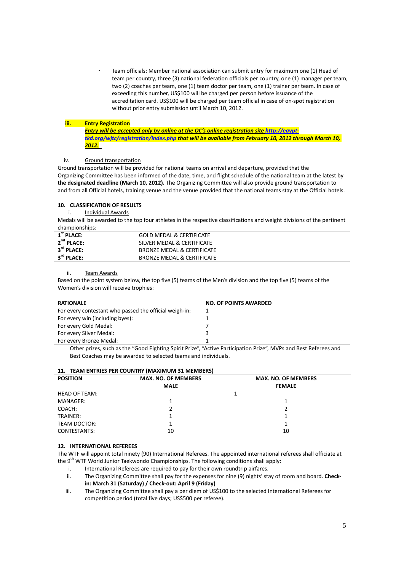Team officials: Member national association can submit entry for maximum one (1) Head of team per country, three (3) national federation officials per country, one (1) manager per team, two (2) coaches per team, one (1) team doctor per team, one (1) trainer per team. In case of exceeding this number, US\$100 will be charged per person before issuance of the accreditation card. US\$100 will be charged per team official in case of on-spot registration without prior entry submission until March 10, 2012.

#### **iii. Entry Registration**

*Entry will be accepted only by online at the OC's online registration sit[e http://egypt](http://egypt-tkd.org/wjtc/registration/index.php)[tkd.org/wjtc/registration/index.php](http://egypt-tkd.org/wjtc/registration/index.php) that will be available from February 10, 2012 through March 10, 2012.*

#### iv. Ground transportation

Ground transportation will be provided for national teams on arrival and departure, provided that the Organizing Committee has been informed of the date, time, and flight schedule of the national team at the latest by **the designated deadline (March 10, 2012).** The Organizing Committee will also provide ground transportation to and from all Official hotels, training venue and the venue provided that the national teams stay at the Official hotels.

#### **10. CLASSIFICATION OF RESULTS**

i. Individual Awards

Medals will be awarded to the top four athletes in the respective classifications and weight divisions of the pertinent championships:

| $1st$ PLACE:           | <b>GOLD MEDAL &amp; CERTIFICATE</b> |
|------------------------|-------------------------------------|
| $2nd$ PLACE:           | SILVER MEDAL & CERTIFICATE          |
| $3^{\text{rd}}$ PLACE: | BRONZE MEDAL & CERTIFICATE          |
| $3^{\text{rd}}$ PLACE: | BRONZE MEDAL & CERTIFICATE          |

#### ii. Team Awards

Based on the point system below, the top five (5) teams of the Men's division and the top five (5) teams of the Women's division will receive trophies:

| <b>RATIONALE</b>                                       | <b>NO. OF POINTS AWARDED</b>                                                                                                                                 |
|--------------------------------------------------------|--------------------------------------------------------------------------------------------------------------------------------------------------------------|
| For every contestant who passed the official weigh-in: |                                                                                                                                                              |
| For every win (including byes):                        |                                                                                                                                                              |
| For every Gold Medal:                                  |                                                                                                                                                              |
| For every Silver Medal:                                |                                                                                                                                                              |
| For every Bronze Medal:                                |                                                                                                                                                              |
|                                                        | Other critics and so the $\theta$ candidates the print print $\theta$ (and in positive print of $\theta$ and $\theta$ and $\theta$ and $\theta$ and $\theta$ |

Other prizes, such as the "Good Fighting Spirit Prize", "Active Participation Prize", MVPs and Best Referees and Best Coaches may be awarded to selected teams and individuals.

#### **11. TEAM ENTRIES PER COUNTRY (MAXIMUM 31 MEMBERS)**

| <b>POSITION</b>      | <b>MAX. NO. OF MEMBERS</b> | <b>MAX. NO. OF MEMBERS</b> |  |
|----------------------|----------------------------|----------------------------|--|
|                      | <b>MALE</b>                | <b>FEMALE</b>              |  |
| <b>HEAD OF TEAM:</b> |                            |                            |  |
| MANAGER:             |                            |                            |  |
| COACH:               |                            |                            |  |
| TRAINER:             |                            |                            |  |
| TEAM DOCTOR:         |                            |                            |  |
| CONTESTANTS:         | 10                         | 10                         |  |

#### **12. INTERNATIONAL REFEREES**

The WTF will appoint total ninety (90) International Referees. The appointed international referees shall officiate at the 9<sup>th</sup> WTF World Junior Taekwondo Championships. The following conditions shall apply:

- i. International Referees are required to pay for their own roundtrip airfares.
- ii. The Organizing Committee shall pay for the expenses for nine (9) nights' stay of room and board. **Checkin: March 31 (Saturday) / Check-out: April 9 (Friday)**
- iii. The Organizing Committee shall pay a per diem of US\$100 to the selected International Referees for competition period (total five days; US\$500 per referee).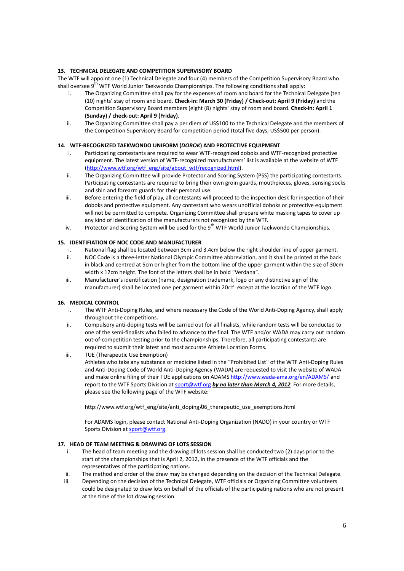#### **13. TECHNICAL DELEGATE AND COMPETITION SUPERVISORY BOARD**

The WTF will appoint one (1) Technical Delegate and four (4) members of the Competition Supervisory Board who shall oversee 9<sup>th</sup> WTF World Junior Taekwondo Championships. The following conditions shall apply:

- i. The Organizing Committee shall pay for the expenses of room and board for the Technical Delegate (ten (10) nights' stay of room and board. **Check-in: March 30 (Friday) / Check-out: April 9 (Friday)** and the Competition Supervisory Board members (eight (8) nights' stay of room and board. **Check-in: April 1 (Sunday) / check-out: April 9 (Friday)**.
- ii. The Organizing Committee shall pay a per diem of US\$100 to the Technical Delegate and the members of the Competition Supervisory Board for competition period (total five days; US\$500 per person).

#### **14. WTF-RECOGNIZED TAEKWONDO UNIFORM (***DOBOK***) AND PROTECTIVE EQUIPMENT**

- i. Participating contestants are required to wear WTF-recognized doboks and WTF-recognized protective equipment. The latest version of WTF-recognized manufacturers' list is available at the website of WTF [\(http://www.wtf.org/wtf\\_eng/site/about\\_wtf/recognized.html\)](http://www.wtf.org/wtf_eng/site/about_wtf/recognized.html).
- ii. The Organizing Committee will provide Protector and Scoring System (PSS) the participating contestants. Participating contestants are required to bring their own groin guards, mouthpieces, gloves, sensing socks and shin and forearm guards for their personal use.
- iii. Before entering the field of play, all contestants will proceed to the inspection desk for inspection of their doboks and protective equipment. Any contestant who wears unofficial doboks or protective equipment will not be permitted to compete. Organizing Committee shall prepare white masking tapes to cover up any kind of identification of the manufacturers not recognized by the WTF.
- iv. Protector and Scoring System will be used for the 9<sup>th</sup> WTF World Junior Taekwondo Championships.

### **15. IDENTIFIATION OF NOC CODE AND MANUFACTURER**

- i. National flag shall be located between 3cm and 3.4cm below the right shoulder line of upper garment.
- ii. NOC Code is a three-letter National Olympic Committee abbreviation, and it shall be printed at the back in black and centred at 5cm or higher from the bottom line of the upper garment within the size of 30cm width x 12cm height. The font of the letters shall be in bold "Verdana".
- iii. Manufacturer's identification (name, designation trademark, logo or any distinctive sign of the manufacturer) shall be located one per garment within 20 $\text{cm}^2$  except at the location of the WTF logo.

## **16. MEDICAL CONTROL**

- i. The WTF Anti-Doping Rules, and where necessary the Code of the World Anti-Doping Agency, shall apply throughout the competitions.
- ii. Compulsory anti-doping tests will be carried out for all finalists, while random tests will be conducted to one of the semi-finalists who failed to advance to the final. The WTF and/or WADA may carry out random out-of-competition testing prior to the championships. Therefore, all participating contestants are required to submit their latest and most accurate Athlete Location Forms.
- iii. TUE (Therapeutic Use Exemption)

Athletes who take any substance or medicine listed in the "Prohibited List" of the WTF Anti-Doping Rules and Anti-Doping Code of World Anti-Doping Agency (WADA) are requested to visit the website of WADA and make online filing of their TUE applications on ADAM[S http://www.wada-ama.org/en/ADAMS/](http://www.wada-ama.org/en/ADAMS/) and report to the WTF Sports Division at [sport@wtf.org](mailto:sport@wtf.org) by no later than March 4, 2012. For more details, please see the following page of the WTF website:

http://www.wtf.org/wtf\_eng/site/anti\_doping/06\_therapeutic\_use\_exemptions.html

For ADAMS login, please contact National Anti-Doping Organization (NADO) in your country or WTF Sports Division a[t sport@wtf.org.](mailto:sport@wtf.org)

## **17. HEAD OF TEAM MEETING & DRAWING OF LOTS SESSION**

- i. The head of team meeting and the drawing of lots session shall be conducted two (2) days prior to the start of the championships that is April 2, 2012, in the presence of the WTF officials and the representatives of the participating nations.
- ii. The method and order of the draw may be changed depending on the decision of the Technical Delegate.
- iii. Depending on the decision of the Technical Delegate, WTF officials or Organizing Committee volunteers could be designated to draw lots on behalf of the officials of the participating nations who are not present at the time of the lot drawing session.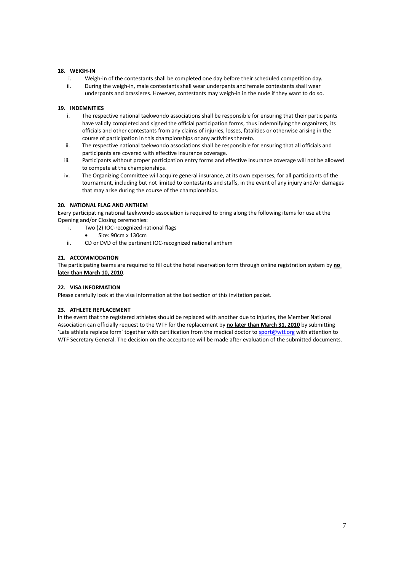#### **18. WEIGH-IN**

- i. Weigh-in of the contestants shall be completed one day before their scheduled competition day.
- ii. During the weigh-in, male contestants shall wear underpants and female contestants shall wear underpants and brassieres. However, contestants may weigh-in in the nude if they want to do so.

#### **19. INDEMNITIES**

- i. The respective national taekwondo associations shall be responsible for ensuring that their participants have validly completed and signed the official participation forms, thus indemnifying the organizers, its officials and other contestants from any claims of injuries, losses, fatalities or otherwise arising in the course of participation in this championships or any activities thereto.
- ii. The respective national taekwondo associations shall be responsible for ensuring that all officials and participants are covered with effective insurance coverage.
- iii. Participants without proper participation entry forms and effective insurance coverage will not be allowed to compete at the championships.
- iv. The Organizing Committee will acquire general insurance, at its own expenses, for all participants of the tournament, including but not limited to contestants and staffs, in the event of any injury and/or damages that may arise during the course of the championships.

#### **20. NATIONAL FLAG AND ANTHEM**

Every participating national taekwondo association is required to bring along the following items for use at the Opening and/or Closing ceremonies:

- i. Two (2) IOC-recognized national flags
- Size: 90cm x 130cm
- ii. CD or DVD of the pertinent IOC-recognized national anthem

#### **21. ACCOMMODATION**

The participating teams are required to fill out the hotel reservation form through online registration system by **no later than March 10, 2010**.

#### **22. VISA INFORMATION**

Please carefully look at the visa information at the last section of this invitation packet.

#### **23. ATHLETE REPLACEMENT**

In the event that the registered athletes should be replaced with another due to injuries, the Member National Association can officially request to the WTF for the replacement by **no later than March 31, 2010** by submitting 'Late athlete replace form' together with certification from the medical doctor t[o sport@wtf.org](mailto:sport@wtf.org) with attention to WTF Secretary General. The decision on the acceptance will be made after evaluation of the submitted documents.